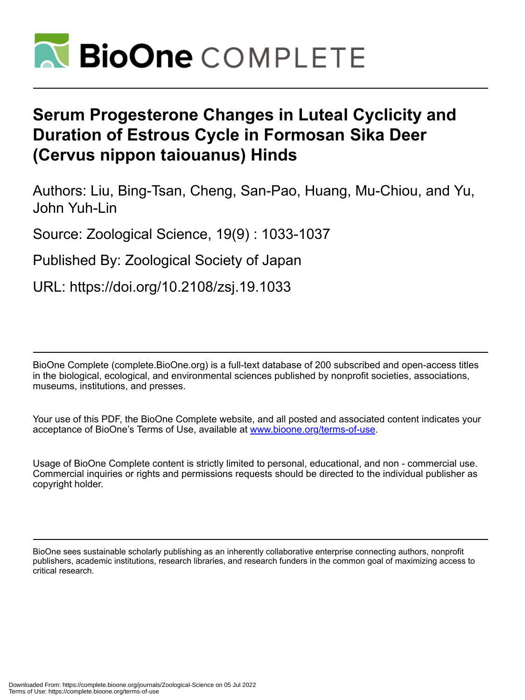

# **Serum Progesterone Changes in Luteal Cyclicity and Duration of Estrous Cycle in Formosan Sika Deer (Cervus nippon taiouanus) Hinds**

Authors: Liu, Bing-Tsan, Cheng, San-Pao, Huang, Mu-Chiou, and Yu, John Yuh-Lin

Source: Zoological Science, 19(9) : 1033-1037

Published By: Zoological Society of Japan

URL: https://doi.org/10.2108/zsj.19.1033

BioOne Complete (complete.BioOne.org) is a full-text database of 200 subscribed and open-access titles in the biological, ecological, and environmental sciences published by nonprofit societies, associations, museums, institutions, and presses.

Your use of this PDF, the BioOne Complete website, and all posted and associated content indicates your acceptance of BioOne's Terms of Use, available at www.bioone.org/terms-of-use.

Usage of BioOne Complete content is strictly limited to personal, educational, and non - commercial use. Commercial inquiries or rights and permissions requests should be directed to the individual publisher as copyright holder.

BioOne sees sustainable scholarly publishing as an inherently collaborative enterprise connecting authors, nonprofit publishers, academic institutions, research libraries, and research funders in the common goal of maximizing access to critical research.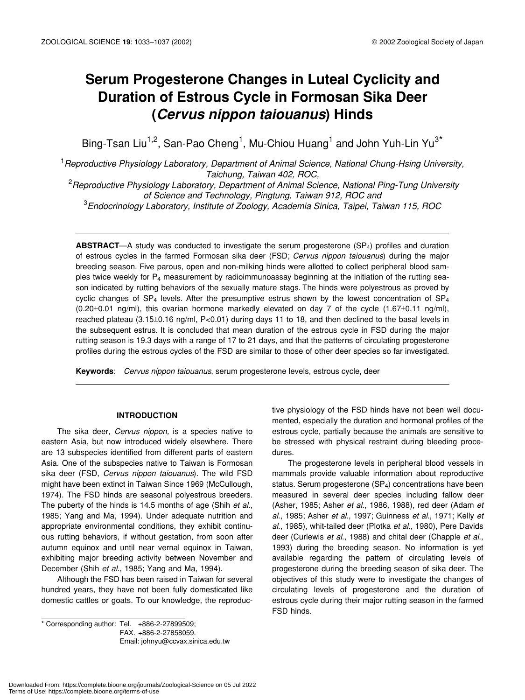# **Serum Progesterone Changes in Luteal Cyclicity and Duration of Estrous Cycle in Formosan Sika Deer (***Cervus nippon taiouanus***) Hinds**

Bing-Tsan Liu<sup>1,2</sup>, San-Pao Cheng<sup>1</sup>, Mu-Chiou Huang<sup>1</sup> and John Yuh-Lin Yu<sup>3\*</sup>

1 *Reproductive Physiology Laboratory, Department of Animal Science, National Chung-Hsing University, Taichung, Taiwan 402, ROC,*

2 *Reproductive Physiology Laboratory, Department of Animal Science, National Ping-Tung University of Science and Technology, Pingtung, Taiwan 912, ROC and*

3 *Endocrinology Laboratory, Institute of Zoology, Academia Sinica, Taipei, Taiwan 115, ROC*

**ABSTRACT**—A study was conducted to investigate the serum progesterone (SP4) profiles and duration of estrous cycles in the farmed Formosan sika deer (FSD; *Cervus nippon taiouanus*) during the major breeding season. Five parous, open and non-milking hinds were allotted to collect peripheral blood samples twice weekly for  $P_4$  measurement by radioimmunoassay beginning at the initiation of the rutting season indicated by rutting behaviors of the sexually mature stags. The hinds were polyestrous as proved by cyclic changes of  $SP_4$  levels. After the presumptive estrus shown by the lowest concentration of  $SP_4$ (0.20±0.01 ng/ml), this ovarian hormone markedly elevated on day 7 of the cycle (1.67±0.11 ng/ml), reached plateau (3.15±0.16 ng/ml, P<0.01) during days 11 to 18, and then declined to the basal levels in the subsequent estrus. It is concluded that mean duration of the estrous cycle in FSD during the major rutting season is 19.3 days with a range of 17 to 21 days, and that the patterns of circulating progesterone profiles during the estrous cycles of the FSD are similar to those of other deer species so far investigated.

**Keywords**: *Cervus nippon taiouanus*, serum progesterone levels, estrous cycle, deer

# **INTRODUCTION**

The sika deer, *Cervus nippon,* is a species native to eastern Asia, but now introduced widely elsewhere. There are 13 subspecies identified from different parts of eastern Asia. One of the subspecies native to Taiwan is Formosan sika deer (FSD, *Cervus nippon taiouanus*). The wild FSD might have been extinct in Taiwan Since 1969 (McCullough, 1974). The FSD hinds are seasonal polyestrous breeders. The puberty of the hinds is 14.5 months of age (Shih *et al*., 1985; Yang and Ma, 1994). Under adequate nutrition and appropriate environmental conditions, they exhibit continuous rutting behaviors, if without gestation, from soon after autumn equinox and until near vernal equinox in Taiwan, exhibiting major breeding activity between November and December (Shih *et al*., 1985; Yang and Ma, 1994).

Although the FSD has been raised in Taiwan for several hundred years, they have not been fully domesticated like domestic cattles or goats. To our knowledge, the reproduc-

\* Corresponding author: Tel. +886-2-27899509; FAX. +886-2-27858059. Email: johnyu@ccvax.sinica.edu.tw tive physiology of the FSD hinds have not been well documented, especially the duration and hormonal profiles of the estrous cycle, partially because the animals are sensitive to be stressed with physical restraint during bleeding procedures.

The progesterone levels in peripheral blood vessels in mammals provide valuable information about reproductive status. Serum progesterone (SP<sub>4</sub>) concentrations have been measured in several deer species including fallow deer (Asher, 1985; Asher *et al*., 1986, 1988), red deer (Adam *et al*., 1985; Asher *et al*., 1997; Guinness *et al*., 1971; Kelly *et al*., 1985), whit-tailed deer (Plotka *et al*., 1980), Pere Davids deer (Curlewis *et al*., 1988) and chital deer (Chapple *et al*., 1993) during the breeding season. No information is yet available regarding the pattern of circulating levels of progesterone during the breeding season of sika deer. The objectives of this study were to investigate the changes of circulating levels of progesterone and the duration of estrous cycle during their major rutting season in the farmed FSD hinds.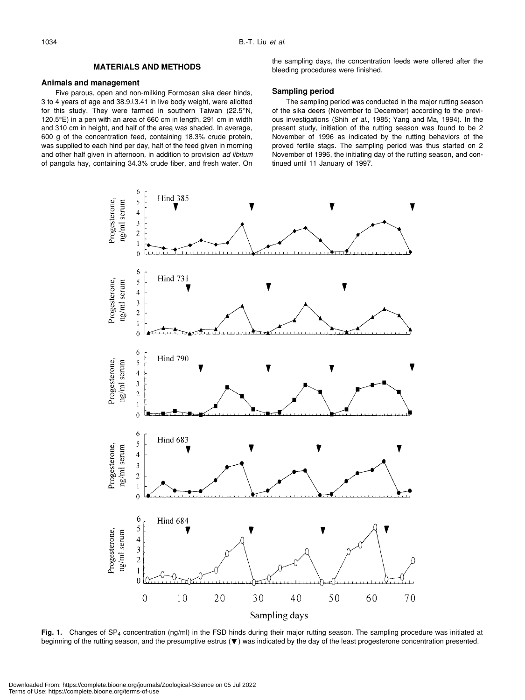# **MATERIALS AND METHODS**

# **Animals and management**

Five parous, open and non-milking Formosan sika deer hinds, 3 to 4 years of age and 38.9±3.41 in live body weight, were allotted for this study. They were farmed in southern Taiwan (22.5°N, 120.5°E) in a pen with an area of 660 cm in length, 291 cm in width and 310 cm in height, and half of the area was shaded. In average, 600 g of the concentration feed, containing 18.3% crude protein, was supplied to each hind per day, half of the feed given in morning and other half given in afternoon, in addition to provision *ad libitum* of pangola hay, containing 34.3% crude fiber, and fresh water. On

the sampling days, the concentration feeds were offered after the bleeding procedures were finished.

# **Sampling period**

The sampling period was conducted in the major rutting season of the sika deers (November to December) according to the previous investigations (Shih *et al*., 1985; Yang and Ma, 1994). In the present study, initiation of the rutting season was found to be 2 November of 1996 as indicated by the rutting behaviors of the proved fertile stags. The sampling period was thus started on 2 November of 1996, the initiating day of the rutting season, and continued until 11 January of 1997.



Fig. 1. Changes of SP<sub>4</sub> concentration (ng/ml) in the FSD hinds during their major rutting season. The sampling procedure was initiated at beginning of the rutting season, and the presumptive estrus ( ) was indicated by the day of the least progesterone concentration presented.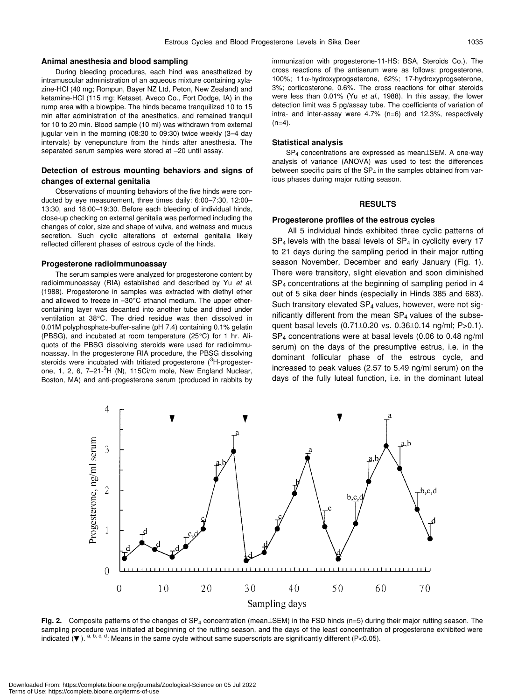#### **Animal anesthesia and blood sampling**

During bleeding procedures, each hind was anesthetized by intramuscular administration of an aqueous mixture containing xylazine-HCl (40 mg; Rompun, Bayer NZ Ltd, Peton, New Zealand) and ketamine-HCl (115 mg; Ketaset, Aveco Co., Fort Dodge, IA) in the rump area with a blowpipe. The hinds became tranquilized 10 to 15 min after administration of the anesthetics, and remained tranquil for 10 to 20 min. Blood sample (10 ml) was withdrawn from external jugular vein in the morning (08:30 to 09:30) twice weekly (3–4 day intervals) by venepuncture from the hinds after anesthesia. The separated serum samples were stored at –20 until assay.

# **Detection of estrous mounting behaviors and signs of changes of external genitalia**

Observations of mounting behaviors of the five hinds were conducted by eye measurement, three times daily: 6:00–7:30, 12:00– 13:30, and 18:00–19:30. Before each bleeding of individual hinds, close-up checking on external genitalia was performed including the changes of color, size and shape of vulva, and wetness and mucus secretion. Such cyclic alterations of external genitalia likely reflected different phases of estrous cycle of the hinds.

#### **Progesterone radioimmunoassay**

 $\overline{A}$ 

3

 $\overline{2}$ 

The serum samples were analyzed for progesterone content by radioimmunoassay (RIA) established and described by Yu *et al*. (1988). Progesterone in samples was extracted with diethyl ether and allowed to freeze in –30°C ethanol medium. The upper ethercontaining layer was decanted into another tube and dried under ventilation at 38°C. The dried residue was then dissolved in 0.01M polyphosphate-buffer-saline (pH 7.4) containing 0.1% gelatin (PBSG), and incubated at room temperature (25°C) for 1 hr. Aliquots of the PBSG dissolving steroids were used for radioimmunoassay. In the progesterone RIA procedure, the PBSG dissolving steroids were incubated with tritiated progesterone (<sup>3</sup>H-progesterone, 1, 2, 6, 7-21-<sup>3</sup>H (N), 115Ci/m mole, New England Nuclear, Boston, MA) and anti-progesterone serum (produced in rabbits by

immunization with progesterone-11-HS: BSA, Steroids Co.). The cross reactions of the antiserum were as follows: progesterone, 100%; 11α-hydroxyprogseterone, 62%; 17-hydroxyprogseterone, 3%; corticosterone, 0.6%. The cross reactions for other steroids were less than 0.01% (Yu *et al*., 1988). In this assay, the lower detection limit was 5 pg/assay tube. The coefficients of variation of intra- and inter-assay were 4.7% (n=6) and 12.3%, respectively  $(n=4)$ .

#### **Statistical analysis**

SP4 concentrations are expressed as mean±SEM. A one-way analysis of variance (ANOVA) was used to test the differences between specific pairs of the  $SP<sub>4</sub>$  in the samples obtained from various phases during major rutting season.

# **RESULTS**

# **Progesterone profiles of the estrous cycles**

All 5 individual hinds exhibited three cyclic patterns of  $SP<sub>4</sub>$  levels with the basal levels of  $SP<sub>4</sub>$  in cyclicity every 17 to 21 days during the sampling period in their major rutting season November, December and early January (Fig. 1). There were transitory, slight elevation and soon diminished SP4 concentrations at the beginning of sampling period in 4 out of 5 sika deer hinds (especially in Hinds 385 and 683). Such transitory elevated SP4 values, however, were not significantly different from the mean SP4 values of the subsequent basal levels (0.71±0.20 vs. 0.36±0.14 ng/ml; P>0.1). SP4 concentrations were at basal levels (0.06 to 0.48 ng/ml serum) on the days of the presumptive estrus, i.e. in the dominant follicular phase of the estrous cycle, and increased to peak values (2.57 to 5.49 ng/ml serum) on the days of the fully luteal function, i.e. in the dominant luteal

b.c.d



sampling procedure was initiated at beginning of the rutting season, and the days of the least concentration of progesterone exhibited were indicated  $($ ). a, b, c, d: Means in the same cycle without same superscripts are significantly different (P<0.05).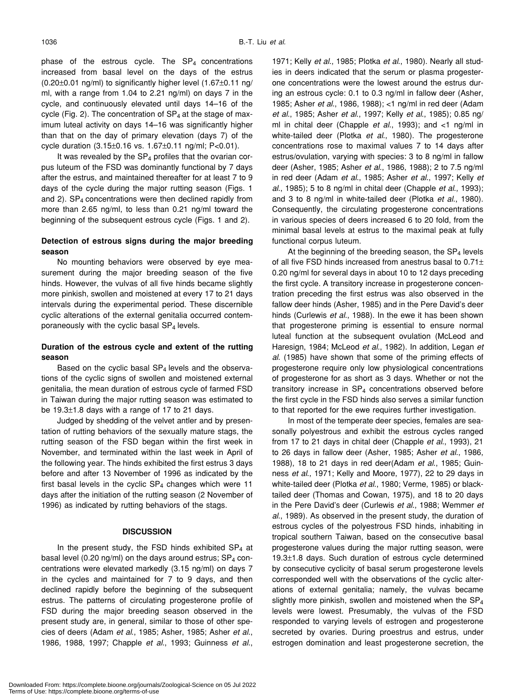phase of the estrous cycle. The  $SP<sub>4</sub>$  concentrations increased from basal level on the days of the estrus (0.20±0.01 ng/ml) to significantly higher level (1.67±0.11 ng/ ml, with a range from 1.04 to 2.21 ng/ml) on days 7 in the cycle, and continuously elevated until days 14–16 of the cycle (Fig. 2). The concentration of  $SP<sub>4</sub>$  at the stage of maximum luteal activity on days 14–16 was significantly higher than that on the day of primary elevation (days 7) of the cycle duration (3.15±0.16 vs. 1.67±0.11 ng/ml; P<0.01).

It was revealed by the  $SP<sub>4</sub>$  profiles that the ovarian corpus luteum of the FSD was dominantly functional by 7 days after the estrus, and maintained thereafter for at least 7 to 9 days of the cycle during the major rutting season (Figs. 1 and 2).  $SP<sub>4</sub>$  concentrations were then declined rapidly from more than 2.65 ng/ml, to less than 0.21 ng/ml toward the beginning of the subsequent estrous cycle (Figs. 1 and 2).

# **Detection of estrous signs during the major breeding season**

No mounting behaviors were observed by eye measurement during the major breeding season of the five hinds. However, the vulvas of all five hinds became slightly more pinkish, swollen and moistened at every 17 to 21 days intervals during the experimental period. These discernible cyclic alterations of the external genitalia occurred contemporaneously with the cyclic basal SP<sub>4</sub> levels.

# **Duration of the estrous cycle and extent of the rutting season**

Based on the cyclic basal  $SP<sub>4</sub>$  levels and the observations of the cyclic signs of swollen and moistened external genitalia, the mean duration of estrous cycle of farmed FSD in Taiwan during the major rutting season was estimated to be 19.3±1.8 days with a range of 17 to 21 days.

Judged by shedding of the velvet antler and by presentation of rutting behaviors of the sexually mature stags, the rutting season of the FSD began within the first week in November, and terminated within the last week in April of the following year. The hinds exhibited the first estrus 3 days before and after 13 November of 1996 as indicated by the first basal levels in the cyclic SP4 changes which were 11 days after the initiation of the rutting season (2 November of 1996) as indicated by rutting behaviors of the stags.

# **DISCUSSION**

In the present study, the FSD hinds exhibited  $SP<sub>4</sub>$  at basal level (0.20 ng/ml) on the days around estrus;  $SP<sub>4</sub>$  concentrations were elevated markedly (3.15 ng/ml) on days 7 in the cycles and maintained for 7 to 9 days, and then declined rapidly before the beginning of the subsequent estrus. The patterns of circulating progesterone profile of FSD during the major breeding season observed in the present study are, in general, similar to those of other species of deers (Adam *et al*., 1985; Asher, 1985; Asher *et al*., 1986, 1988, 1997; Chapple *et al*., 1993; Guinness *et al*., 1971; Kelly *et al*., 1985; Plotka *et al*., 1980). Nearly all studies in deers indicated that the serum or plasma progesterone concentrations were the lowest around the estrus during an estrous cycle: 0.1 to 0.3 ng/ml in fallow deer (Asher, 1985; Asher *et al*., 1986, 1988); <1 ng/ml in red deer (Adam *et al*., 1985; Asher *et al*., 1997; Kelly *et al*., 1985); 0.85 ng/ ml in chital deer (Chapple *et al*., 1993); and <1 ng/ml in white-tailed deer (Plotka *et al*., 1980). The progesterone concentrations rose to maximal values 7 to 14 days after estrus/ovulation, varying with species: 3 to 8 ng/ml in fallow deer (Asher, 1985; Asher *et al*., 1986, 1988); 2 to 7.5 ng/ml in red deer (Adam *et al*., 1985; Asher *et al*., 1997; Kelly *et al*., 1985); 5 to 8 ng/ml in chital deer (Chapple *et al*., 1993); and 3 to 8 ng/ml in white-tailed deer (Plotka *et al*., 1980). Consequently, the circulating progesterone concentrations in various species of deers increased 6 to 20 fold, from the minimal basal levels at estrus to the maximal peak at fully functional corpus luteum.

At the beginning of the breeding season, the  $SP<sub>4</sub>$  levels of all five FSD hinds increased from anestrus basal to 0.71± 0.20 ng/ml for several days in about 10 to 12 days preceding the first cycle. A transitory increase in progesterone concentration preceding the first estrus was also observed in the fallow deer hinds (Asher, 1985) and in the Pere David's deer hinds (Curlewis *et al*., 1988). In the ewe it has been shown that progesterone priming is essential to ensure normal luteal function at the subsequent ovulation (McLeod and Haresign, 1984; McLeod *et al*., 1982). In addition, Legan *et al*. (1985) have shown that some of the priming effects of progesterone require only low physiological concentrations of progesterone for as short as 3 days. Whether or not the transitory increase in SP4 concentrations observed before the first cycle in the FSD hinds also serves a similar function to that reported for the ewe requires further investigation.

In most of the temperate deer species, females are seasonally polyestrous and exhibit the estrous cycles ranged from 17 to 21 days in chital deer (Chapple *et al*., 1993), 21 to 26 days in fallow deer (Asher, 1985; Asher *et al*., 1986, 1988), 18 to 21 days in red deer(Adam *et al*., 1985; Guinness *et al*., 1971; Kelly and Moore, 1977), 22 to 29 days in white-tailed deer (Plotka *et al*., 1980; Verme, 1985) or blacktailed deer (Thomas and Cowan, 1975), and 18 to 20 days in the Pere David's deer (Curlewis *et al*., 1988; Wemmer *et al*., 1989). As observed in the present study, the duration of estrous cycles of the polyestrous FSD hinds, inhabiting in tropical southern Taiwan, based on the consecutive basal progesterone values during the major rutting season, were 19.3±1.8 days. Such duration of estrous cycle determined by consecutive cyclicity of basal serum progesterone levels corresponded well with the observations of the cyclic alterations of external genitalia; namely, the vulvas became slightly more pinkish, swollen and moistened when the SP<sub>4</sub> levels were lowest. Presumably, the vulvas of the FSD responded to varying levels of estrogen and progesterone secreted by ovaries. During proestrus and estrus, under estrogen domination and least progesterone secretion, the